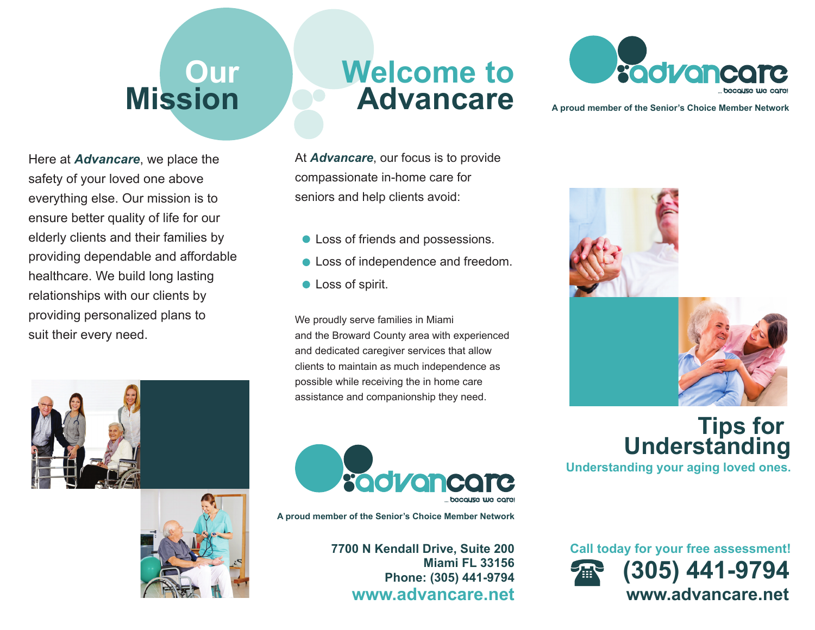## **Our Mission**

Here at *Advancare*, we place the safety of your loved one above everything else. Our mission is to ensure better quality of life for our elderly clients and their families by providing dependable and affordable healthcare. We build long lasting relationships with our clients by providing personalized plans to suit their every need.





## **Welcome toAdvancare**

At *Advancare*, our focus is to provide compassionate in-home care for seniors and help clients avoid:

- Loss of friends and possessions.
- **Loss of independence and freedom.**
- **C** Loss of spirit.

We proudly serve families in Miami and the Broward County area with experienced and dedicated caregiver services that allow clients to maintain as much independence as possible while receiving the in home care assistance and companionship they need.



**A proud member of the Senior's Choice Member Network**

**7700 N Kendall Drive, Suite 200 Miami FL 33156Phone: (305) 441-9794 www.advancare.net**



**A proud member of the Senior's Choice Member Network**





**Tips for Understanding**

**Understanding your aging loved ones.**